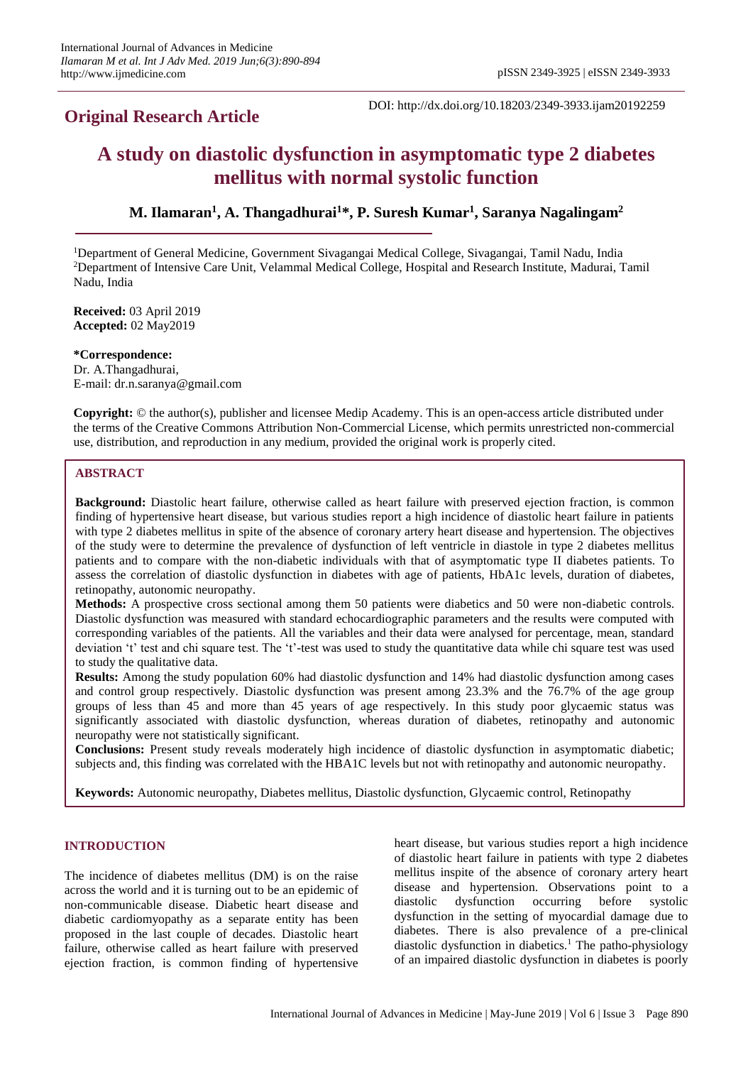# **Original Research Article**

DOI: http://dx.doi.org/10.18203/2349-3933.ijam20192259

# **A study on diastolic dysfunction in asymptomatic type 2 diabetes mellitus with normal systolic function**

**M. Ilamaran<sup>1</sup> , A. Thangadhurai<sup>1</sup>\*, P. Suresh Kumar<sup>1</sup> , Saranya Nagalingam<sup>2</sup>**

<sup>1</sup>Department of General Medicine, Government Sivagangai Medical College, Sivagangai, Tamil Nadu, India <sup>2</sup>Department of Intensive Care Unit, Velammal Medical College, Hospital and Research Institute, Madurai, Tamil Nadu, India

**Received:** 03 April 2019 **Accepted:** 02 May2019

**\*Correspondence:** Dr. A.Thangadhurai, E-mail: dr.n.saranya@gmail.com

**Copyright:** © the author(s), publisher and licensee Medip Academy. This is an open-access article distributed under the terms of the Creative Commons Attribution Non-Commercial License, which permits unrestricted non-commercial use, distribution, and reproduction in any medium, provided the original work is properly cited.

# **ABSTRACT**

**Background:** Diastolic heart failure, otherwise called as heart failure with preserved ejection fraction, is common finding of hypertensive heart disease, but various studies report a high incidence of diastolic heart failure in patients with type 2 diabetes mellitus in spite of the absence of coronary artery heart disease and hypertension. The objectives of the study were to determine the prevalence of dysfunction of left ventricle in diastole in type 2 diabetes mellitus patients and to compare with the non-diabetic individuals with that of asymptomatic type II diabetes patients. To assess the correlation of diastolic dysfunction in diabetes with age of patients, HbA1c levels, duration of diabetes, retinopathy, autonomic neuropathy.

**Methods:** A prospective cross sectional among them 50 patients were diabetics and 50 were non-diabetic controls. Diastolic dysfunction was measured with standard echocardiographic parameters and the results were computed with corresponding variables of the patients. All the variables and their data were analysed for percentage, mean, standard deviation 't' test and chi square test. The 't'-test was used to study the quantitative data while chi square test was used to study the qualitative data.

**Results:** Among the study population 60% had diastolic dysfunction and 14% had diastolic dysfunction among cases and control group respectively. Diastolic dysfunction was present among 23.3% and the 76.7% of the age group groups of less than 45 and more than 45 years of age respectively. In this study poor glycaemic status was significantly associated with diastolic dysfunction, whereas duration of diabetes, retinopathy and autonomic neuropathy were not statistically significant.

**Conclusions:** Present study reveals moderately high incidence of diastolic dysfunction in asymptomatic diabetic; subjects and, this finding was correlated with the HBA1C levels but not with retinopathy and autonomic neuropathy.

**Keywords:** Autonomic neuropathy, Diabetes mellitus, Diastolic dysfunction, Glycaemic control, Retinopathy

## **INTRODUCTION**

The incidence of diabetes mellitus (DM) is on the raise across the world and it is turning out to be an epidemic of non-communicable disease. Diabetic heart disease and diabetic cardiomyopathy as a separate entity has been proposed in the last couple of decades. Diastolic heart failure, otherwise called as heart failure with preserved ejection fraction, is common finding of hypertensive heart disease, but various studies report a high incidence of diastolic heart failure in patients with type 2 diabetes mellitus inspite of the absence of coronary artery heart disease and hypertension. Observations point to a diastolic dysfunction occurring before systolic dysfunction in the setting of myocardial damage due to diabetes. There is also prevalence of a pre-clinical diastolic dysfunction in diabetics.<sup>1</sup> The patho-physiology of an impaired diastolic dysfunction in diabetes is poorly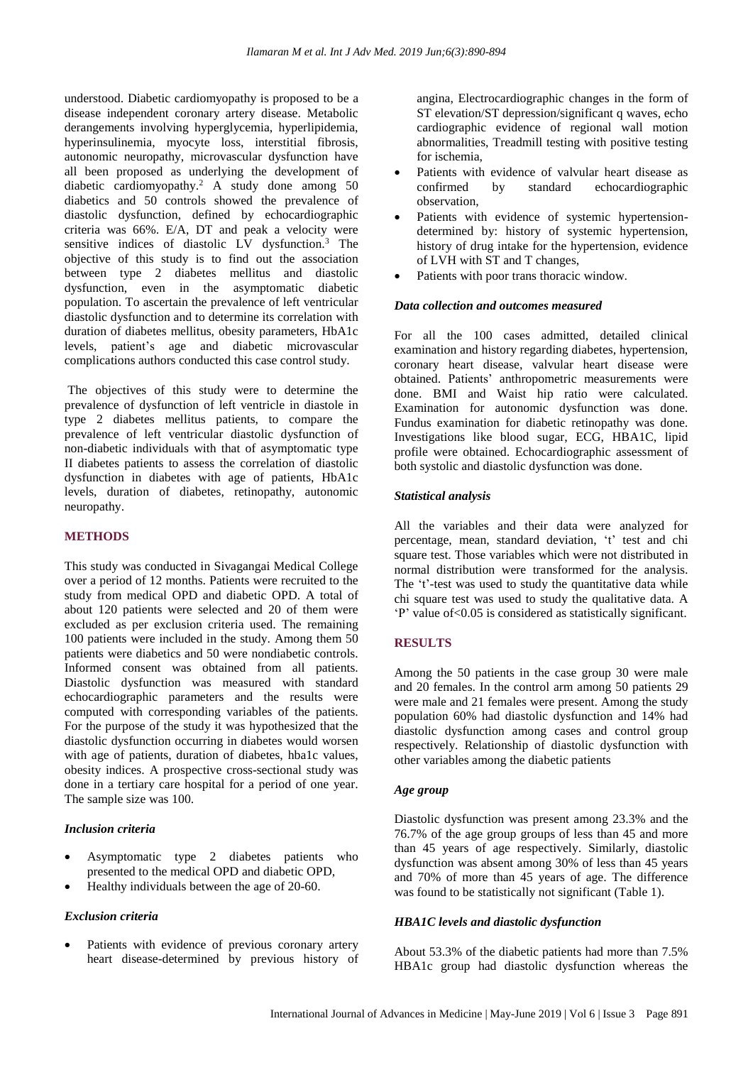understood. Diabetic cardiomyopathy is proposed to be a disease independent coronary artery disease. Metabolic derangements involving hyperglycemia, hyperlipidemia, hyperinsulinemia, myocyte loss, interstitial fibrosis, autonomic neuropathy, microvascular dysfunction have all been proposed as underlying the development of diabetic cardiomyopathy.<sup>2</sup> A study done among 50 diabetics and 50 controls showed the prevalence of diastolic dysfunction, defined by echocardiographic criteria was 66%. E/A, DT and peak a velocity were sensitive indices of diastolic LV dysfunction.<sup>3</sup> The objective of this study is to find out the association between type 2 diabetes mellitus and diastolic dysfunction, even in the asymptomatic diabetic population. To ascertain the prevalence of left ventricular diastolic dysfunction and to determine its correlation with duration of diabetes mellitus, obesity parameters, HbA1c levels, patient's age and diabetic microvascular complications authors conducted this case control study.

The objectives of this study were to determine the prevalence of dysfunction of left ventricle in diastole in type 2 diabetes mellitus patients, to compare the prevalence of left ventricular diastolic dysfunction of non-diabetic individuals with that of asymptomatic type II diabetes patients to assess the correlation of diastolic dysfunction in diabetes with age of patients, HbA1c levels, duration of diabetes, retinopathy, autonomic neuropathy.

## **METHODS**

This study was conducted in Sivagangai Medical College over a period of 12 months. Patients were recruited to the study from medical OPD and diabetic OPD. A total of about 120 patients were selected and 20 of them were excluded as per exclusion criteria used. The remaining 100 patients were included in the study. Among them 50 patients were diabetics and 50 were nondiabetic controls. Informed consent was obtained from all patients. Diastolic dysfunction was measured with standard echocardiographic parameters and the results were computed with corresponding variables of the patients. For the purpose of the study it was hypothesized that the diastolic dysfunction occurring in diabetes would worsen with age of patients, duration of diabetes, hba1c values, obesity indices. A prospective cross-sectional study was done in a tertiary care hospital for a period of one year. The sample size was 100.

# *Inclusion criteria*

- Asymptomatic type 2 diabetes patients who presented to the medical OPD and diabetic OPD,
- Healthy individuals between the age of 20-60.

## *Exclusion criteria*

• Patients with evidence of previous coronary artery heart disease-determined by previous history of angina, Electrocardiographic changes in the form of ST elevation/ST depression/significant q waves, echo cardiographic evidence of regional wall motion abnormalities, Treadmill testing with positive testing for ischemia,

- Patients with evidence of valvular heart disease as confirmed by standard echocardiographic observation,
- Patients with evidence of systemic hypertensiondetermined by: history of systemic hypertension, history of drug intake for the hypertension, evidence of LVH with ST and T changes,
- Patients with poor trans thoracic window.

#### *Data collection and outcomes measured*

For all the 100 cases admitted, detailed clinical examination and history regarding diabetes, hypertension, coronary heart disease, valvular heart disease were obtained. Patients' anthropometric measurements were done. BMI and Waist hip ratio were calculated. Examination for autonomic dysfunction was done. Fundus examination for diabetic retinopathy was done. Investigations like blood sugar, ECG, HBA1C, lipid profile were obtained. Echocardiographic assessment of both systolic and diastolic dysfunction was done.

#### *Statistical analysis*

All the variables and their data were analyzed for percentage, mean, standard deviation, 't' test and chi square test. Those variables which were not distributed in normal distribution were transformed for the analysis. The 't'-test was used to study the quantitative data while chi square test was used to study the qualitative data. A 'P' value of<0.05 is considered as statistically significant.

## **RESULTS**

Among the 50 patients in the case group 30 were male and 20 females. In the control arm among 50 patients 29 were male and 21 females were present. Among the study population 60% had diastolic dysfunction and 14% had diastolic dysfunction among cases and control group respectively. Relationship of diastolic dysfunction with other variables among the diabetic patients

## *Age group*

Diastolic dysfunction was present among 23.3% and the 76.7% of the age group groups of less than 45 and more than 45 years of age respectively. Similarly, diastolic dysfunction was absent among 30% of less than 45 years and 70% of more than 45 years of age. The difference was found to be statistically not significant (Table 1).

## *HBA1C levels and diastolic dysfunction*

About 53.3% of the diabetic patients had more than 7.5% HBA1c group had diastolic dysfunction whereas the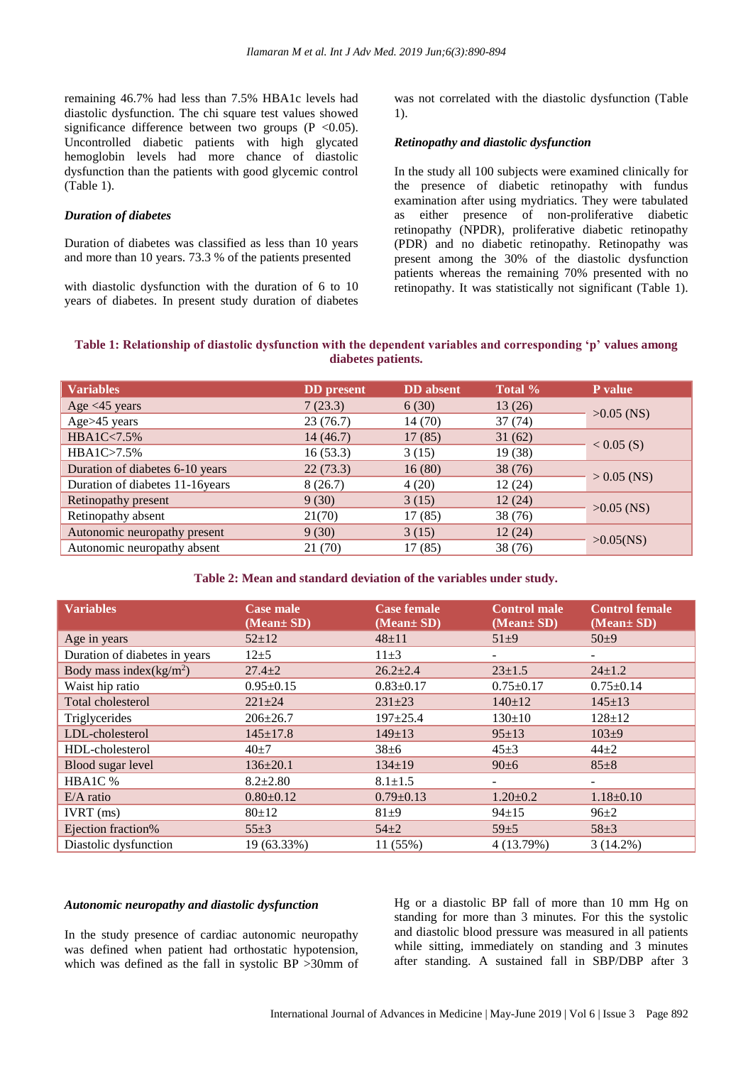remaining 46.7% had less than 7.5% HBA1c levels had diastolic dysfunction. The chi square test values showed significance difference between two groups  $(P \le 0.05)$ . Uncontrolled diabetic patients with high glycated hemoglobin levels had more chance of diastolic dysfunction than the patients with good glycemic control (Table 1).

#### *Duration of diabetes*

Duration of diabetes was classified as less than 10 years and more than 10 years. 73.3 % of the patients presented

with diastolic dysfunction with the duration of 6 to 10 years of diabetes. In present study duration of diabetes was not correlated with the diastolic dysfunction (Table 1).

#### *Retinopathy and diastolic dysfunction*

In the study all 100 subjects were examined clinically for the presence of diabetic retinopathy with fundus examination after using mydriatics. They were tabulated as either presence of non-proliferative diabetic retinopathy (NPDR), proliferative diabetic retinopathy (PDR) and no diabetic retinopathy. Retinopathy was present among the 30% of the diastolic dysfunction patients whereas the remaining 70% presented with no retinopathy. It was statistically not significant (Table 1).

#### **Table 1: Relationship of diastolic dysfunction with the dependent variables and corresponding 'p' values among diabetes patients.**

| <b>Variables</b>                 | <b>DD</b> present | <b>DD</b> absent | Total % | P value       |
|----------------------------------|-------------------|------------------|---------|---------------|
| Age $<$ 45 years                 | 7(23.3)           | 6(30)            | 13(26)  | $>0.05$ (NS)  |
| Age>45 years                     | 23(76.7)          | 14(70)           | 37(74)  |               |
| HBA1C<7.5%                       | 14(46.7)          | 17(85)           | 31(62)  | $< 0.05$ (S)  |
| HBA1C>7.5%                       | 16(53.3)          | 3(15)            | 19 (38) |               |
| Duration of diabetes 6-10 years  | 22(73.3)          | 16(80)           | 38(76)  | $> 0.05$ (NS) |
| Duration of diabetes 11-16 years | 8(26.7)           | 4(20)            | 12(24)  |               |
| Retinopathy present              | 9(30)             | 3(15)            | 12(24)  | $>0.05$ (NS)  |
| Retinopathy absent               | 21(70)            | 17(85)           | 38(76)  |               |
| Autonomic neuropathy present     | 9(30)             | 3(15)            | 12(24)  | $>0.05$ (NS)  |
| Autonomic neuropathy absent      | 21 (70)           | 17(85)           | 38 (76) |               |

#### **Table 2: Mean and standard deviation of the variables under study.**

| <b>Variables</b>              | <b>Case male</b><br>$(Mean \pm SD)$ | <b>Case female</b><br>(Mean± SD) | <b>Control male</b><br>(Mean± SD) | <b>Control female</b><br>(Mean± SD) |
|-------------------------------|-------------------------------------|----------------------------------|-----------------------------------|-------------------------------------|
| Age in years                  | $52 \pm 12$                         | $48 + 11$                        | $51+9$                            | $50+9$                              |
| Duration of diabetes in years | $12\pm 5$                           | $11\pm3$                         |                                   |                                     |
| Body mass index $(kg/m^2)$    | $27.4 \pm 2$                        | $26.2 \pm 2.4$                   | $23 + 1.5$                        | $24 \pm 1.2$                        |
| Waist hip ratio               | $0.95 \pm 0.15$                     | $0.83 \pm 0.17$                  | $0.75 \pm 0.17$                   | $0.75 \pm 0.14$                     |
| Total cholesterol             | $221 \pm 24$                        | $231 \pm 23$                     | $140 \pm 12$                      | $145 \pm 13$                        |
| Triglycerides                 | $206 \pm 26.7$                      | $197 + 25.4$                     | $130 \pm 10$                      | $128 \pm 12$                        |
| LDL-cholesterol               | $145 \pm 17.8$                      | $149 \pm 13$                     | $95 \pm 13$                       | $103+9$                             |
| HDL-cholesterol               | $40+7$                              | $38 \pm 6$                       | $45+3$                            | $44\pm 2$                           |
| Blood sugar level             | $136 \pm 20.1$                      | $134 \pm 19$                     | $90 \pm 6$                        | $85 \pm 8$                          |
| HBA1C %                       | $8.2 \pm 2.80$                      | $8.1 \pm 1.5$                    | ۰                                 |                                     |
| $E/A$ ratio                   | $0.80 \pm 0.12$                     | $0.79 \pm 0.13$                  | $1.20 \pm 0.2$                    | $1.18 \pm 0.10$                     |
| $IVRT$ (ms)                   | 80±12                               | $81\pm9$                         | $94 \pm 15$                       | $96 \pm 2$                          |
| Ejection fraction%            | $55 \pm 3$                          | $54\pm2$                         | $59+5$                            | $58 \pm 3$                          |
| Diastolic dysfunction         | 19 (63.33%)                         | 11 (55%)                         | 4 (13.79%)                        | $3(14.2\%)$                         |

#### *Autonomic neuropathy and diastolic dysfunction*

In the study presence of cardiac autonomic neuropathy was defined when patient had orthostatic hypotension, which was defined as the fall in systolic BP >30mm of Hg or a diastolic BP fall of more than 10 mm Hg on standing for more than 3 minutes. For this the systolic and diastolic blood pressure was measured in all patients while sitting, immediately on standing and 3 minutes after standing. A sustained fall in SBP/DBP after 3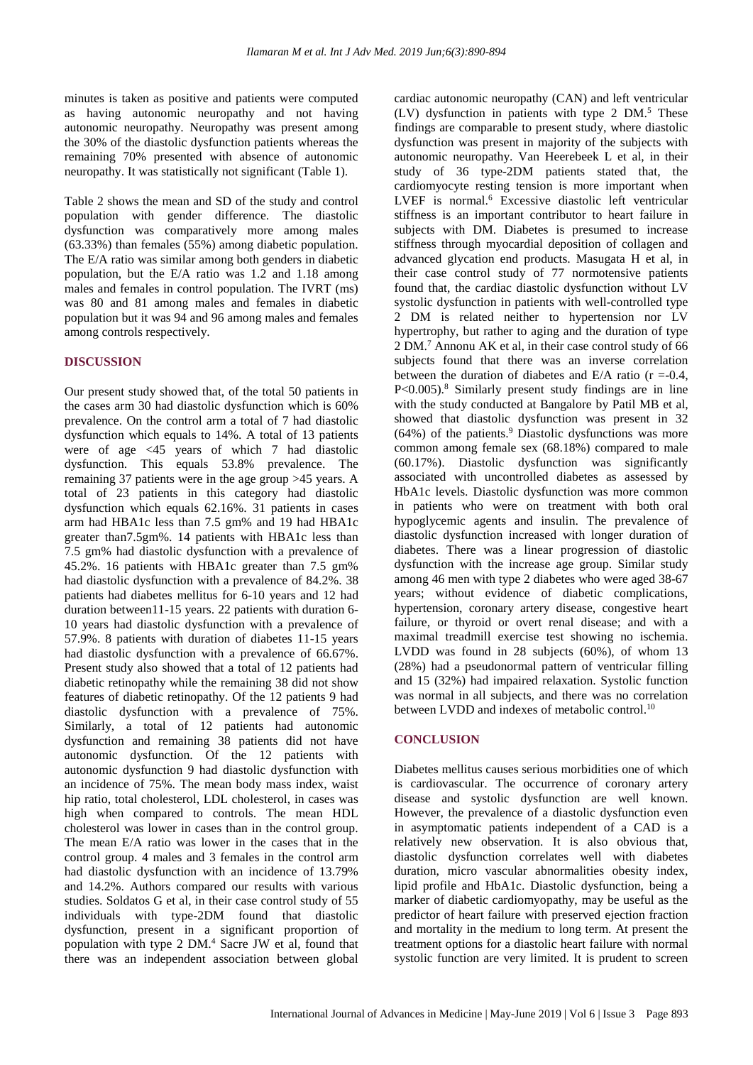minutes is taken as positive and patients were computed as having autonomic neuropathy and not having autonomic neuropathy. Neuropathy was present among the 30% of the diastolic dysfunction patients whereas the remaining 70% presented with absence of autonomic neuropathy. It was statistically not significant (Table 1).

Table 2 shows the mean and SD of the study and control population with gender difference. The diastolic dysfunction was comparatively more among males (63.33%) than females (55%) among diabetic population. The E/A ratio was similar among both genders in diabetic population, but the E/A ratio was 1.2 and 1.18 among males and females in control population. The IVRT (ms) was 80 and 81 among males and females in diabetic population but it was 94 and 96 among males and females among controls respectively.

#### **DISCUSSION**

Our present study showed that, of the total 50 patients in the cases arm 30 had diastolic dysfunction which is 60% prevalence. On the control arm a total of 7 had diastolic dysfunction which equals to 14%. A total of 13 patients were of age <45 years of which 7 had diastolic dysfunction. This equals 53.8% prevalence. The remaining 37 patients were in the age group >45 years. A total of 23 patients in this category had diastolic dysfunction which equals 62.16%. 31 patients in cases arm had HBA1c less than 7.5 gm% and 19 had HBA1c greater than7.5gm%. 14 patients with HBA1c less than 7.5 gm% had diastolic dysfunction with a prevalence of 45.2%. 16 patients with HBA1c greater than 7.5 gm% had diastolic dysfunction with a prevalence of 84.2%. 38 patients had diabetes mellitus for 6-10 years and 12 had duration between11-15 years. 22 patients with duration 6- 10 years had diastolic dysfunction with a prevalence of 57.9%. 8 patients with duration of diabetes 11-15 years had diastolic dysfunction with a prevalence of 66.67%. Present study also showed that a total of 12 patients had diabetic retinopathy while the remaining 38 did not show features of diabetic retinopathy. Of the 12 patients 9 had diastolic dysfunction with a prevalence of 75%. Similarly, a total of 12 patients had autonomic dysfunction and remaining 38 patients did not have autonomic dysfunction. Of the 12 patients with autonomic dysfunction 9 had diastolic dysfunction with an incidence of 75%. The mean body mass index, waist hip ratio, total cholesterol, LDL cholesterol, in cases was high when compared to controls. The mean HDL cholesterol was lower in cases than in the control group. The mean E/A ratio was lower in the cases that in the control group. 4 males and 3 females in the control arm had diastolic dysfunction with an incidence of 13.79% and 14.2%. Authors compared our results with various studies. Soldatos G et al, in their case control study of 55 individuals with type-2DM found that diastolic dysfunction, present in a significant proportion of population with type 2 DM.<sup>4</sup> Sacre JW et al, found that there was an independent association between global cardiac autonomic neuropathy (CAN) and left ventricular  $(LV)$  dysfunction in patients with type 2 DM.<sup>5</sup> These findings are comparable to present study, where diastolic dysfunction was present in majority of the subjects with autonomic neuropathy. Van Heerebeek L et al, in their study of 36 type-2DM patients stated that, the cardiomyocyte resting tension is more important when LVEF is normal.<sup>6</sup> Excessive diastolic left ventricular stiffness is an important contributor to heart failure in subjects with DM. Diabetes is presumed to increase stiffness through myocardial deposition of collagen and advanced glycation end products. Masugata H et al, in their case control study of 77 normotensive patients found that, the cardiac diastolic dysfunction without LV systolic dysfunction in patients with well-controlled type 2 DM is related neither to hypertension nor LV hypertrophy, but rather to aging and the duration of type 2 DM.<sup>7</sup> Annonu AK et al, in their case control study of 66 subjects found that there was an inverse correlation between the duration of diabetes and  $E/A$  ratio ( $r = -0.4$ ,  $P<0.005$ ).<sup>8</sup> Similarly present study findings are in line with the study conducted at Bangalore by Patil MB et al, showed that diastolic dysfunction was present in 32  $(64%)$  of the patients.<sup>9</sup> Diastolic dysfunctions was more common among female sex (68.18%) compared to male (60.17%). Diastolic dysfunction was significantly associated with uncontrolled diabetes as assessed by HbA1c levels. Diastolic dysfunction was more common in patients who were on treatment with both oral hypoglycemic agents and insulin. The prevalence of diastolic dysfunction increased with longer duration of diabetes. There was a linear progression of diastolic dysfunction with the increase age group. Similar study among 46 men with type 2 diabetes who were aged 38-67 years; without evidence of diabetic complications, hypertension, coronary artery disease, congestive heart failure, or thyroid or overt renal disease; and with a maximal treadmill exercise test showing no ischemia. LVDD was found in 28 subjects (60%), of whom 13 (28%) had a pseudonormal pattern of ventricular filling and 15 (32%) had impaired relaxation. Systolic function was normal in all subjects, and there was no correlation between LVDD and indexes of metabolic control.<sup>10</sup>

## **CONCLUSION**

Diabetes mellitus causes serious morbidities one of which is cardiovascular. The occurrence of coronary artery disease and systolic dysfunction are well known. However, the prevalence of a diastolic dysfunction even in asymptomatic patients independent of a CAD is a relatively new observation. It is also obvious that, diastolic dysfunction correlates well with diabetes duration, micro vascular abnormalities obesity index, lipid profile and HbA1c. Diastolic dysfunction, being a marker of diabetic cardiomyopathy, may be useful as the predictor of heart failure with preserved ejection fraction and mortality in the medium to long term. At present the treatment options for a diastolic heart failure with normal systolic function are very limited. It is prudent to screen